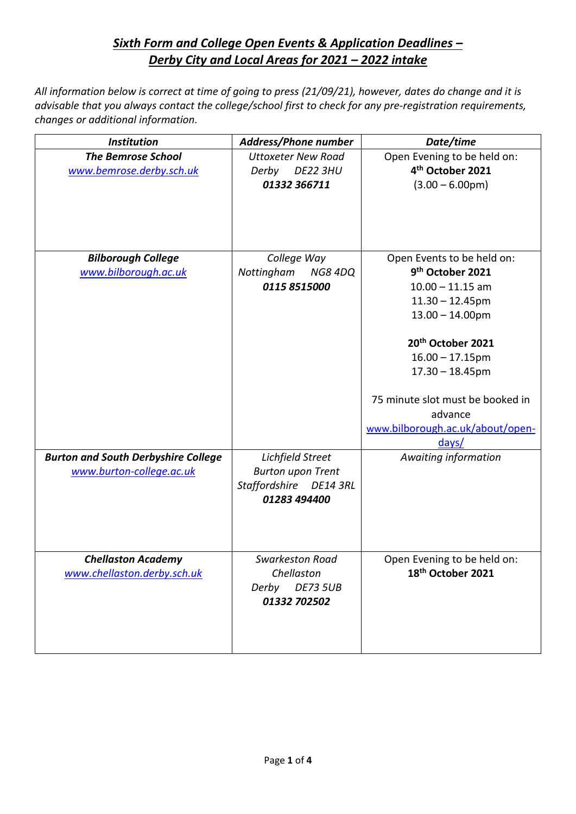## *Sixth Form and College Open Events & Application Deadlines – Derby City and Local Areas for 2021 – 2022 intake*

All information below is correct at time of going to press (21/09/21), however, dates do change and it is *advisable that you always contact the college/school first to check for any pre-registration requirements, changes or additional information.*

| <b>Institution</b>                         | <b>Address/Phone number</b>  | Date/time                        |
|--------------------------------------------|------------------------------|----------------------------------|
| <b>The Bemrose School</b>                  | <b>Uttoxeter New Road</b>    | Open Evening to be held on:      |
| www.bemrose.derby.sch.uk                   | Derby<br>DE22 3HU            | 4 <sup>th</sup> October 2021     |
|                                            | 01332 366711                 | $(3.00 - 6.00pm)$                |
|                                            |                              |                                  |
|                                            |                              |                                  |
|                                            |                              |                                  |
|                                            |                              |                                  |
| <b>Bilborough College</b>                  | College Way                  | Open Events to be held on:       |
| www.bilborough.ac.uk                       | <b>NG8 4DQ</b><br>Nottingham | 9 <sup>th</sup> October 2021     |
|                                            | 0115 8515000                 | $10.00 - 11.15$ am               |
|                                            |                              | $11.30 - 12.45$ pm               |
|                                            |                              | $13.00 - 14.00$ pm               |
|                                            |                              | 20 <sup>th</sup> October 2021    |
|                                            |                              |                                  |
|                                            |                              | $16.00 - 17.15$ pm               |
|                                            |                              | $17.30 - 18.45$ pm               |
|                                            |                              | 75 minute slot must be booked in |
|                                            |                              | advance                          |
|                                            |                              | www.bilborough.ac.uk/about/open- |
|                                            |                              | days/                            |
| <b>Burton and South Derbyshire College</b> | Lichfield Street             | Awaiting information             |
| www.burton-college.ac.uk                   | <b>Burton upon Trent</b>     |                                  |
|                                            | Staffordshire DE14 3RL       |                                  |
|                                            | 01283 494400                 |                                  |
|                                            |                              |                                  |
|                                            |                              |                                  |
|                                            |                              |                                  |
| <b>Chellaston Academy</b>                  | <b>Swarkeston Road</b>       | Open Evening to be held on:      |
| www.chellaston.derby.sch.uk                | Chellaston                   | 18 <sup>th</sup> October 2021    |
|                                            | <b>DE73 5UB</b><br>Derby     |                                  |
|                                            | 01332 702502                 |                                  |
|                                            |                              |                                  |
|                                            |                              |                                  |
|                                            |                              |                                  |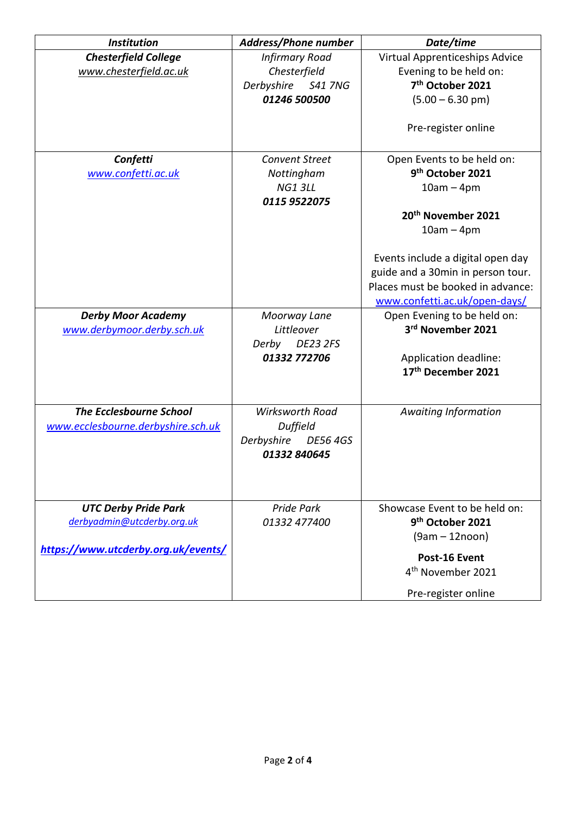| <b>Institution</b>                  | Address/Phone number          | Date/time                         |
|-------------------------------------|-------------------------------|-----------------------------------|
| <b>Chesterfield College</b>         | <b>Infirmary Road</b>         | Virtual Apprenticeships Advice    |
| www.chesterfield.ac.uk              | Chesterfield                  | Evening to be held on:            |
|                                     | Derbyshire S41 7NG            | 7 <sup>th</sup> October 2021      |
|                                     | 01246 500500                  | $(5.00 - 6.30 \text{ pm})$        |
|                                     |                               | Pre-register online               |
| Confetti                            | <b>Convent Street</b>         | Open Events to be held on:        |
| www.confetti.ac.uk                  | Nottingham                    | 9 <sup>th</sup> October 2021      |
|                                     | <b>NG1 3LL</b>                | $10am - 4pm$                      |
|                                     | 0115 9522075                  |                                   |
|                                     |                               | 20 <sup>th</sup> November 2021    |
|                                     |                               | $10am - 4pm$                      |
|                                     |                               |                                   |
|                                     |                               | Events include a digital open day |
|                                     |                               | guide and a 30min in person tour. |
|                                     |                               | Places must be booked in advance: |
|                                     |                               | www.confetti.ac.uk/open-days/     |
| <b>Derby Moor Academy</b>           | Moorway Lane                  | Open Evening to be held on:       |
| www.derbymoor.derby.sch.uk          | Littleover                    | 3rd November 2021                 |
|                                     | <b>DE23 2FS</b><br>Derby      |                                   |
|                                     | 01332 772706                  | Application deadline:             |
|                                     |                               | 17th December 2021                |
|                                     |                               |                                   |
| <b>The Ecclesbourne School</b>      | <b>Wirksworth Road</b>        | <b>Awaiting Information</b>       |
| www.ecclesbourne.derbyshire.sch.uk  | Duffield                      |                                   |
|                                     | Derbyshire<br><b>DE56 4GS</b> |                                   |
|                                     | 01332 840645                  |                                   |
|                                     |                               |                                   |
|                                     |                               |                                   |
| <b>UTC Derby Pride Park</b>         | Pride Park                    | Showcase Event to be held on:     |
| derbyadmin@utcderby.org.uk          | 01332 477400                  | 9 <sup>th</sup> October 2021      |
|                                     |                               | $(9am - 12noon)$                  |
| https://www.utcderby.org.uk/events/ |                               |                                   |
|                                     |                               | Post-16 Event                     |
|                                     |                               | 4 <sup>th</sup> November 2021     |
|                                     |                               | Pre-register online               |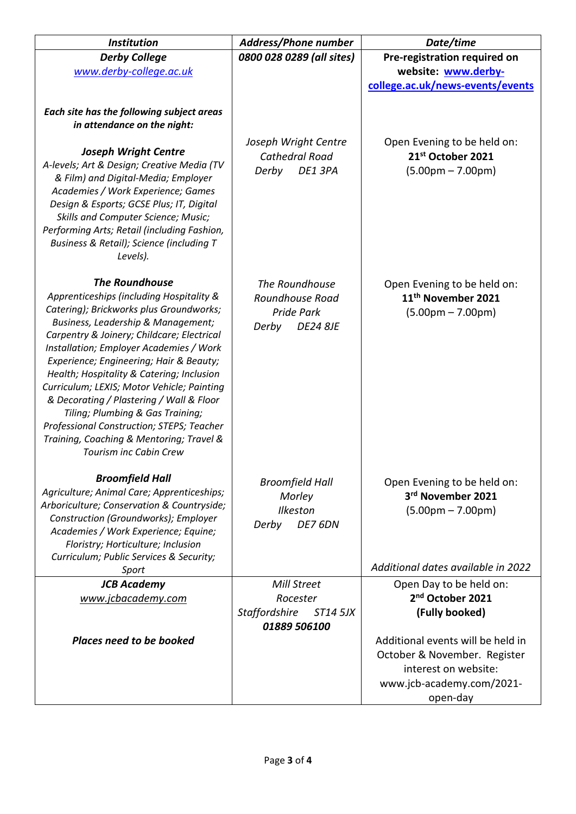| <b>Institution</b>                                                                   | <b>Address/Phone number</b>                             | Date/time                                             |
|--------------------------------------------------------------------------------------|---------------------------------------------------------|-------------------------------------------------------|
| <b>Derby College</b>                                                                 | 0800 028 0289 (all sites)                               | Pre-registration required on                          |
| www.derby-college.ac.uk                                                              |                                                         | website: www.derby-                                   |
|                                                                                      |                                                         | college.ac.uk/news-events/events                      |
|                                                                                      |                                                         |                                                       |
| Each site has the following subject areas<br>in attendance on the night:             |                                                         |                                                       |
|                                                                                      |                                                         |                                                       |
| <b>Joseph Wright Centre</b>                                                          | Joseph Wright Centre<br><b>Cathedral Road</b>           | Open Evening to be held on:<br>21st October 2021      |
| A-levels; Art & Design; Creative Media (TV                                           | Derby<br>DE1 3PA                                        | $(5.00pm - 7.00pm)$                                   |
| & Film) and Digital-Media; Employer                                                  |                                                         |                                                       |
| Academies / Work Experience; Games                                                   |                                                         |                                                       |
| Design & Esports; GCSE Plus; IT, Digital<br>Skills and Computer Science; Music;      |                                                         |                                                       |
| Performing Arts; Retail (including Fashion,                                          |                                                         |                                                       |
| Business & Retail); Science (including T                                             |                                                         |                                                       |
| Levels).                                                                             |                                                         |                                                       |
|                                                                                      |                                                         |                                                       |
| <b>The Roundhouse</b><br>Apprenticeships (including Hospitality &                    | The Roundhouse                                          | Open Evening to be held on:                           |
| Catering); Brickworks plus Groundworks;                                              | Roundhouse Road<br>Pride Park                           | 11 <sup>th</sup> November 2021<br>$(5.00pm - 7.00pm)$ |
| Business, Leadership & Management;                                                   | Derby<br><b>DE24 8JE</b>                                |                                                       |
| Carpentry & Joinery; Childcare; Electrical                                           |                                                         |                                                       |
| Installation; Employer Academies / Work                                              |                                                         |                                                       |
| Experience; Engineering; Hair & Beauty;<br>Health; Hospitality & Catering; Inclusion |                                                         |                                                       |
| Curriculum; LEXIS; Motor Vehicle; Painting                                           |                                                         |                                                       |
| & Decorating / Plastering / Wall & Floor                                             |                                                         |                                                       |
| Tiling; Plumbing & Gas Training;                                                     |                                                         |                                                       |
| Professional Construction; STEPS; Teacher                                            |                                                         |                                                       |
| Training, Coaching & Mentoring; Travel &<br><b>Tourism inc Cabin Crew</b>            |                                                         |                                                       |
|                                                                                      |                                                         |                                                       |
| <b>Broomfield Hall</b>                                                               | <b>Broomfield Hall</b>                                  | Open Evening to be held on:                           |
| Agriculture; Animal Care; Apprenticeships;                                           | Morley                                                  | 3rd November 2021                                     |
| Arboriculture; Conservation & Countryside;                                           | <b>Ilkeston</b>                                         | $(5.00pm - 7.00pm)$                                   |
| Construction (Groundworks); Employer<br>Academies / Work Experience; Equine;         | Derby<br>DE7 6DN                                        |                                                       |
| Floristry; Horticulture; Inclusion                                                   |                                                         |                                                       |
| Curriculum; Public Services & Security;                                              |                                                         |                                                       |
| Sport                                                                                |                                                         | Additional dates available in 2022                    |
| <b>JCB Academy</b>                                                                   | Mill Street                                             | Open Day to be held on:                               |
| www.jcbacademy.com                                                                   | Rocester                                                | 2 <sup>nd</sup> October 2021                          |
|                                                                                      | <b>Staffordshire</b><br><b>ST14 5JX</b><br>01889 506100 | (Fully booked)                                        |
| <b>Places need to be booked</b>                                                      |                                                         | Additional events will be held in                     |
|                                                                                      |                                                         | October & November. Register                          |
|                                                                                      |                                                         | interest on website:                                  |
|                                                                                      |                                                         | www.jcb-academy.com/2021-                             |
|                                                                                      |                                                         | open-day                                              |